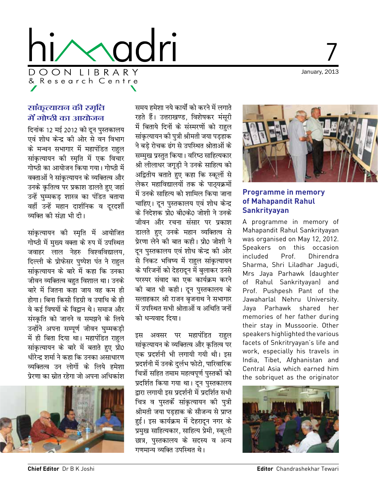

# January, 2013

### सांकृत्यायन की स्मृति में गोष्ठी का आयोजन

दिनांक 12 मई 2012 को दून पुस्तकालय एवं शोध केन्द्र की ओर से वन विभाग के मन्थन सभागार में महापंडित राहल सांकृत्यायन की स्मृति में एक विचार गोष्ठी का आयोजन किया गया। गोष्ठी में वक्ताओं ने सांकत्यायन के व्यक्तित्व और उनके कृतित्व पर प्रकाश डालते हुए जहां उन्हें घुम्मकड़ शास्त्र का पंडित बताया वहीं उन्हें महान दार्शनिक व दरदर्शी व्यक्ति की संज्ञा भी दी।

सांकृत्यायन की स्मृति में आयोजित गोष्ठी में मख्य वक्ता के रुप में उपस्थित जवाहर लाल नेहरु विश्वविद्यालय. दिल्ली के प्रोफेसर पुष्पेश पंत ने राहुल सांकृत्यायन के बारे में कहा कि उनका जीवन व्यक्तित्व बहुत विशाल था। उनके बारे में जितना कहा जाय वह कम ही होगा। बिना किसी डिग्री व उपाधि के ही वे कई विषयों के विद्वान थे। समाज और संस्कृति को जानने व समझने के लिये उन्होंने अपना सम्पूर्ण जीवन घुम्मकड़ी में ही बिता दिया था। महापंडित राहुल सांकृत्यायन के बारे में बताते हुए प्रो0 धीरेन्द्र शर्मा ने कहा कि उनका असाधारण व्यक्तित्व उन लोगों के लिये हमेशा प्रेरणा का स्रोत रहेगा जो अपना अधिकांश



समय हमेशा नये कार्यों को करने में लगाते रहते हैं। उत्तराखण्ड, विशेषकर मंसूरी में बिताये दिनों के संस्मरणों को राहल सांकृत्यायन की पुत्री श्रीमती जया पडहाक ने बड़े रोचक ढंग से उपस्थित श्रोताओं के सम्मुख प्रस्तुत किया। वरिष्ठ साहित्यकार श्री लीलाधर जगूड़ी ने उनके साहित्य को अद्वितीय बताते हुए कहा कि स्कूलों से लेकर महाविद्यालयों तक के पाठ्यक्रमों में उनके साहित्य को शामिल किया जाना चाहिए। दुन पुस्तकालय एवं शोध केन्द्र के निदेशक प्रो0 बी0के0 जोशी ने उनके जीवन और रचना संसार पर प्रकाश डालते हुए उनके महान व्यक्तित्व से प्रेरणा लेने की बात कही। प्रो0 जोशी ने दन पुस्तकालय एवं शोध केन्द्र की ओर से निकट भविष्य में राहुल सांकृत्यायन के परिजनों को देहरादून में बुलाकर उनसे परस्पर संवाद का एक कार्यक्रम करने की बात भी कही। दून पुस्तकालय के सलाहकार श्री राजन बृजनाथ ने सभागार में उपस्थित सभी श्रोताओं व अथिति जनों को धन्यवाद दिया।

इस अवसर पर महापंडित राहुल सांकृत्यायन के व्यक्तित्व और कृतित्व पर एक प्रदर्शनी भी लगायी गयी थी। इस प्रदर्शनी में उनके दुर्लभ फोटो, पारिवारिक चित्रों सहित तमाम महत्वपूर्ण पुस्तकों को प्रदर्शित किया गया था। दून पुस्तकालय द्वारा लगायी इस प्रदर्शनी में प्रदर्शित सभी चित्र व पुस्तकें सांकृत्यायन की पुत्री श्रीमती जया पडहाक के सौजन्य से प्राप्त हई। इस कार्यक्रम में देहरादन नगर के प्रमुख साहित्यकार, साहित्य प्रेमी, स्कूली छात्र, पुस्तकालय के सदस्य व अन्य गणमान्य व्यक्ति उपस्थित थे।



#### **Programme in memory** of Mahapandit Rahul **Sankrityayan**

A programme in memory of Mahapandit Rahul Sankrityayan was organised on May 12, 2012. Speakers on this occasion included Prof Dhirendra Sharma, Shri Liladhar Jaqudi, Mrs Jaya Parhawk (daughter of Rahul Sankrityayan) and Prof. Pushpesh Pant of the Jawaharlal Nehru University. Java Parhawk shared her memories of her father during their stay in Mussoorie. Other speakers highlighted the various facets of Snkritryayan's life and work, especially his travels in India, Tibet, Afghanistan and Central Asia which earned him the sobriquet as the originator



Editor Chandrashekhar Tewari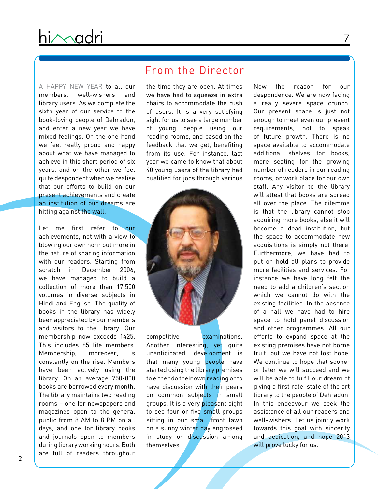A Happy New Year to all our members, well-wishers and library users. As we complete the sixth year of our service to the book-loving people of Dehradun, and enter a new year we have mixed feelings. On the one hand we feel really proud and happy about what we have managed to achieve in this short period of six years, and on the other we feel quite despondent when we realise that our efforts to build on our present achievements and create an institution of our dreams are hitting against the wall.

Let me first refer to our achievements, not with a view to blowing our own horn but more in the nature of sharing information with our readers. Starting from scratch in December 2006, we have managed to build a collection of more than 17,500 volumes in diverse subjects in Hindi and English. The quality of books in the library has widely been appreciated by our members and visitors to the library. Our membership now exceeds 1425. This includes 85 life members. Membership, moreover, is constantly on the rise. Members have been actively using the library. On an average 750-800 books are borrowed every month. The library maintains two reading rooms – one for newspapers and magazines open to the general public from 8 AM to 8 PM on all days, and one for library books and journals open to members during library working hours. Both are full of readers throughout

### From the Director

the time they are open. At times we have had to squeeze in extra chairs to accommodate the rush of users. It is a very satisfying sight for us to see a large number of young people using our reading rooms, and based on the feedback that we get, benefiting from its use. For instance, last year we came to know that about 40 young users of the library had qualified for jobs through various



competitive examinations. Another interesting, yet quite unanticipated, development is that many young people have started using the library premises to either do their own reading or to have discussion with their peers on common subjects in small groups. It is a very pleasant sight to see four or five small groups sitting in our small front lawn on a sunny winter day engrossed in study or discussion among themselves.

Now the reason for our despondence. We are now facing a really severe space crunch. Our present space is just not enough to meet even our present requirements, not to speak of future growth. There is no space available to accommodate additional shelves for books, more seating for the growing number of readers in our reading rooms, or work place for our own staff. Any visitor to the library will attest that books are spread all over the place. The dilemma is that the library cannot stop acquiring more books, else it will become a dead institution, but the space to accommodate new acquisitions is simply not there. Furthermore, we have had to put on hold all plans to provide more facilities and services. For instance we have long felt the need to add a children's section which we cannot do with the existing facilities. In the absence of a hall we have had to hire space to hold panel discussion and other programmes. All our efforts to expand space at the existing premises have not borne fruit; but we have not lost hope. We continue to hope that sooner or later we will succeed and we will be able to fulfil our dream of giving a first rate, state of the art library to the people of Dehradun. In this endeavour we seek the assistance of all our readers and well-wishers. Let us jointly work towards this goal with sincerity and dedication, and hope 2013 will prove lucky for us.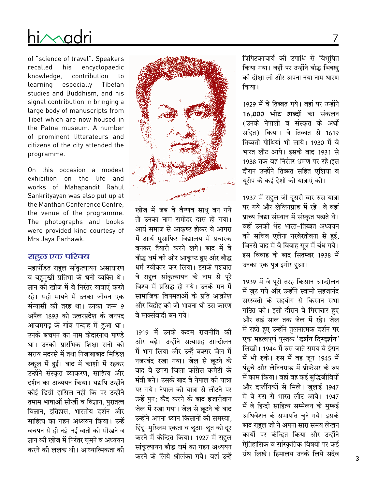# $i\wedge$ adri

of "science of travel". Speakers recalled his encyclopaedic knowledge, contribution to learning especially Tibetan studies and Buddhism, and his signal contribution in bringing a large body of manuscripts from Tibet which are now housed in the Patna museum. A number of prominent litterateurs and citizens of the city attended the programme.

On this occasion a modest exhibition on the life and works of Mahapandit Rahul Sankrityayan was also put up at the Manthan Conference Centre, the venue of the programme. The photographs and books were provided kind courtesy of Mrs Jaya Parhawk.

#### राहुल एक परिचय

महापंडित राहुल सांकृत्यायन असाधारण व बहमुखी प्रतिभा के धनी व्यक्ति थे। ज्ञान की खोज में वे निरंतर यात्राएं करते रहे। सही मायने में उनका जीवन एक संन्यासी की तरह था। उनका जन्म 9 अपैल 1893 को उत्तरप्रदेश के जनपद आजमगढ़ के गांव पन्दाह में हुआ था। उनके बचपन का नाम केदारनाथ पाण्डे था। उनकी पारंभिक शिक्षा रानी की सराय मदरसे में तथा निजाबाबाद मिडिल स्कल में हुई। बाद में काशी में रहकर उन्होंने संस्कृत व्याकरण. साहित्य और दर्शन का अध्ययन किया। यद्यपि उन्होंने कोई डिग्री हासिल नहीं कि पर उन्होंने तमाम भाषाओं सीखीं व विज्ञान, पुरातत्व विज्ञान, इतिहास, भारतीय दर्शन और साहित्य का गहन अध्ययन किया। उन्हें बचपन से ही नई-नई बातों को सीखने व ज्ञान की खोज में निरंतर घूमने व अध्ययन करने की ललक थी। आध्यात्मिकता की



खोज में जब वे वैष्णव साधु बन गये तो उनका नाम रामोदर दास हो गया। आर्य समाज से आकृष्ट होकर वे आगरा में आर्य मुसाफिर विद्यालय में प्रचारक बनकर तैयारी करने लगे। बाद में वे बौद्ध धर्म की ओर आकृष्ट हुए और बौद्ध धर्म स्वीकार कर लिया। इसके पश्चात वे राहुल सांकृत्यायन के नाम से पूरे विश्व में प्रसिद्ध हो गये। उनके मन में सामाजिक विषमताओं के प्रति आक्रोश और विद्रोह की जो भावना थी उस कारण वे मार्क्सवादी बन गये।

1919 में उनके कदम राजनीति की ओर बढे। उन्होंने सत्याग्रह आन्दोलन में भाग लिया और उन्हें बक्सर जेल में नजरबंद रखा गया। जेल से छुटने के बाद वे छपरा जिला कांग्रेस कमेटी के मंत्री बने। उसके बाद वे नेपाल की यात्रा पर गये। नेपाल की यात्रा से लौटने पर उन्हें पुन: कैद करने के बाद हजारीबाग जेल में रखा गया। जेल से छूटने के बाद उन्होंने अपना ध्यान किसानों की समस्या. हिंदू-मुस्लिम एकता व छुआ-छूत को दूर करने में केन्द्रित किया। 1927 में राहुल सांकत्यायन बौद्ध धर्म का गहन अध्ययन करने के लिये श्रीलंका गये। वहां उन्हें त्रिपिटकाचार्य की उपाधि से विभूषित किया गया। वहीं पर उन्होंने बौद्ध भिक्ख को दीक्षा ली और अपना नया नाम धारण किया।

1929 में वे तिब्बत गये। वहां पर उन्होंने 16,000 **भोट शब्दों** का संकलन (उनके नेपाली व संस्कृत के अर्थो सहित) किया। वे तिब्बत से 1619 तिब्बती पोथियां भी लाये। 1930 में वे भारत लौट आये। इसके बाद 1931 से 1938 तक वह निरंतर भ्रमण पर रहे।इस दौरान उन्होंने तिब्बत सहित एशिया व यरोप के कई देशों की यात्राएं की।

1937 में राहुल जी दूसरी बार रुस यात्रा पर गये और लेलिनग्राड में रहे। वे वहां प्राच्य विद्या संस्थान में संस्कृत पढाते थे। वहीं उनकी भेंट भारत-तिब्बत अध्ययन की सचिव एलेना नरवेरतोवना से हई. जिनसे बाद में वे विवाह सूत्र में बंध गये। इस विवाह के बाद सितम्बर 1938 में उनका एक पुत्र इगोर हुआ।

1939 में वे पूरी तरह किसान आन्दोलन में जुट गये और उन्होंने स्वामी सहजानंद सरस्वती के सहयोग से किसान सभा गठित की। इसी दौरान वे गिरफ्तार हुए और ढाई साल तक जेल में रहे। जेल में रहते हुए उन्होंने तुलनात्मक दर्शन पर एक महत्वपूर्ण पुस्तक '**दर्शन दिग्दर्शन'** लिखी। 1944 में रुस जाते समय वे ईरान में भी रुके। रुस में वह जून 1945 में पहुचे और लेनिनग्राड में प्रोफेसर के रुप में काम किया। वहां वह कई बुद्धिजीवियों और दार्शनिकों से मिले। जुलाई 1947 में वे रुस से भारत लौट आये। 1947 में वे हिन्दी साहित्य सम्मेलन के मुम्बई अधिवेशन के सभापति चुने गये। इसके बाद राहल जी ने अपना सारा समय लेखन कार्यो पर केन्द्रित किया और उन्होंने ऐतिहासिक व सांस्कृतिक विषयों पर कई ग्रंथ लिखे। हिमालय उनके लिये सदैव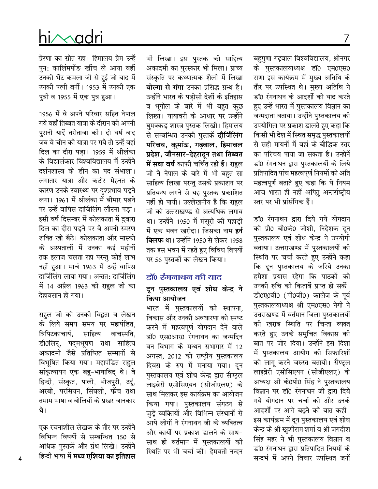बहुगुणा गढ़वाल विश्वविद्यालय, श्रीनगर के पुस्तकालयाध्यक्ष डॉ0 एम0एस0 राणा इस कार्यक्रम में मुख्य अतिथि के तौर पर उपस्थित थे। मुख्य अतिथि ने डॉ0 रंगनाथन के आदर्शो को याद करते हुए उन्हें भारत में पुस्तकालय विज्ञान का जन्मदाता बताया। उन्होंने पुस्तकालय की उपयोगिता पर प्रकाश डालते हुए कहा कि किसी भी देश में स्थित समृद्ध पुस्तकालयों से सही मायनों में वहां के बौद्धिक स्तर का परिचय पाया जा सकता है। उन्होनें डॉ0 रंगनाथन द्वारा पस्तकालयों के लिये प्रतिपादित पांच महत्वपूर्ण नियमों को अति महत्वपूर्ण बताते हुए कहा कि ये नियम आज भारत ही नहीं अपित अन्तर्राष्ट्रीय स्तर पर भी प्रांसंगिक हैं।

डॉ0 रंगनाथन द्वारा दिये गये योगदान को प्रो0 बी0के0 जोशी, निदेशक दन पुस्तकालय एवं शोध केन्द्र ने उपयोगी बताया। उत्तराखण्ड में पुस्तकालयों की स्थिति पर चर्चा करते हुए उन्होंने कहा कि दुन पुस्तकालय के जरिये उनका हमेशा प्रयास रहेगा कि पाठकों को उनकी रुचि की किताबें प्राप्त हो सकें। डी0ए0वी0 (पी0जी0) कालेज के पूर्व पुस्तकालयाध्यक्ष श्री एम0एस0 नेगी ने उत्तराखण्ड में वर्तमान जिला पुस्तकालयों को खराब स्थिति पर चिन्ता व्यक्त करते हुए उनके समुचित विकास की बात पर जोर दिया। उन्होंने इस दिशा में पुस्तकालय आयोग की सिफारिशों को लागू करने जरुरत बतायी। सैण्ट्रल लाइब्रेरी एसोसिएयन (सीजीएलए) के अध्यक्ष श्री के0पी0 सिंह ने पुस्तकालय विज्ञान पर डॉ0 रंगनाथन जी द्वारा दिये गये योगदान पर चर्चा की और उनके आदर्शो पर आगे बढ़ने की बात कही। इस कार्यक्रम में दून पुस्तकालय एवं शोध केन्द्र के श्री खुशीराम शर्मा व श्री जगदीश सिंह महर ने भी पुस्तकालय विज्ञान व डॉ0 रंगनाथन द्वारा प्रतिपादित नियमों के सन्दर्भ में अपने विचार उपस्थित जनों

भी लिखा। इस पुस्तक को साहित्य अकादमी का पुरस्कार भी मिला। प्राच्य संस्कृति पर कथ्यात्मक शैली में लिखा **वोल्गा से गंगा** उनका प्रसिद्ध ग्रन्थ है। उन्होंने भारत के पड़ोसी देशों के इतिहास व भूगोल के बारे में भी बहुत कुछ लिखा। यायावरी के आधार पर उन्होंने घुमक्कड़ शास्त्र पुस्तक लिखी। हिमालय से सम्बन्धित उनकी पुस्तकें **दौर्जिलिंग** परिचय, कुमांऊ, गढ़वाल, हिमाच**ल** प्रदेश, जौनसार-देहरादून तथा तिब्बत **में सवा वर्ष** काफी चर्चित रही हैं। राहुल जी ने नेपाल के बारे में भी बहत सा साहित्य लिखा परन्तु उसके प्रकाशन पर प्रतिबन्ध लगने से यह पुस्तक प्रकाशित नहीं हो पायी। उल्लेखनीय है कि राहल जी को उत्तराखण्ड से अत्यधिक लगाव था। उन्होंने 1950 में मंसूरी की पहाड़ी में एक भवन खरीदा। जिसका नाम **हर्न क्लिफ** था। उन्होंने 1950 से लेकर 1958 तक इस भवन में रहते हुए विविध विषयों पर 56 पुस्तकों का लेखन किया।

#### डॉ० रंगनाथन की याद

### दून पुस्तकालय एवं शोध केन्द्<mark>र</mark> ने **किया आयोजन**

भारत में पुस्तकालयों की स्थापना, विकास और उनकी अवधारणा को स्पष्ट करने में महत्वपूर्ण योगदान देने वाले डॉ0 एस0आर0 रंगनाथन का जन्मदिन वन विभाग के मन्थन सभागार में 12 अगस्त, 2012 को राष्ट्रीय पुस्तकालय दिवस के रुप में मनाया गया। दन पुस्तकालय एवं शोध केन्द्र द्वारा सैण्ट्ल लाइब्रेरी एसोसिएयन (सीजीएलए) के साथ मिलकर इस कार्यक्रम का आयोजन किया गया। पुस्तकालय संगठन से जुड़े व्यक्तियों और विभिन्न संस्थानों से आये लोगों ने रंगनाथन जी के व्यक्तित्व और कार्यों पर प्रकाश डालने के साथ-साथ ही वर्तमान में पुस्तकालयों की स्थिति पर भी चर्चा की। हेमवती नन्दन

# $i \wedge$ adr

प्रेरणा का स्रोत रहा। हिमालय प्रेम उन्हें पुन: कालिंमपोंङ खींच ले आया वहीं उनकी भेंट कमला जी से हुई जो बाद में उनकी पत्नी बर्नी। 1953 में उनकी एक पुत्री व 1955 में एक पुत्र हुआ।

1956 में वे अपने परिवार सहित नेपाल गये वहाँ तिब्बत यात्रा के दौरान की अपनी पुरानी यादें तरोताजा की। दो वर्ष बाद जब वे चीन की यात्रा पर गये तो उन्हें वहां दिल का दौरा पड़ा। 1959 में श्रीलंका के विद्यालंकार विश्वविद्यालय में उन्होंने दर्शनशास्त्र के डीन का पद संभाला। लगातार यात्रा और कठोर मेहनत के कारण उनके स्वास्थ्य पर दुश्प्रभाव पड़ने लगा। 1961 में श्रीलंका में बीमार पड़ने पर उन्हें वापिस दार्जिलिंग लौटना पड़ा। इसी वर्ष दिसम्बर में कोलकाता में दुबारा दिल का दौरा पडने पर वे अपनी स्मरण शक्ति खो बैठे। कोलकाता और मास्को के अस्पतालों में उनका कई महीनों तक इलाज चलता रहा परन्तु कोई लाभ नहीं हुआ। मार्च 1963 में उन्हें वापिस दार्जिलिंग लाया गया। अन्तत: दार्जिलिंग में 14 अप्रैल 1963 को राहल जी का देहावसान हो गया।

राहुल जी को उनकी विद्वता व लेखन के लिये समय समय पर महापंडित. त्रिपिटकाचार्य. साहित्य वाचस्पति. डी0लिट्. पदमभृषण तथा साहित्य अकादमी जैसे प्रतिष्ठित सम्मानों से विभूषित किया गया। महापंडित राहुल सांकृत्यायन एक बहु-भाषाविद् थे। वे हिन्दी, संस्कृत, पाली, भोजपुरी, उर्दू, अरबी, परसियन, सिंघली, फेंच तथा तमाम भाषा व बोलियों के प्रखर जानकार थे।

एक रचनाशील लेखक के तौर पर उन्होंने विभिन्न विषयों से सम्बन्धित 150 से अधिक पुस्तकें और ग्रंथ लिखे। उन्होंने हिन्दी भाषा में **मध्य एशिया का इतिहास**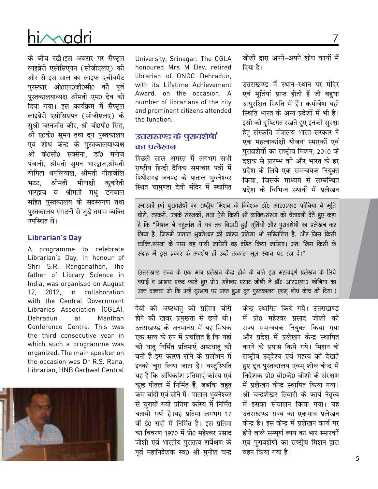# ni∧∧adri

के बीच रखे।इस अवसर पर सैण्ट्ल लाइब्रेरी एसोसिएयन (सीजीएलए) की ओर से इस साल का लाइफ एचीवमेंट पुरस्कार ओ0एन0जी0सी0 को पूर्व पुस्तकालयाध्यक्ष श्रीमती एम0 देव को दिया गया। इस कार्यक्रम में सैण्टल लाइब्रेरी एसोसिएयन (सीजीएलए) के सुश्री चरनजीत कौर, श्री वी0पी0 सिंह, श्री ए0के0 सुमन तथा दून पुस्तकालय एवं शोध केन्द्र के पुस्तकालयाध्यक्ष श्री के0सी0 सक्सेना, डॉ0 मनोज पंजानी, श्रीमती समन भारद्वाज,श्रीमती योगिता थपलियाल, श्रीमती गीताजंलि भटट, श्रीमती मीनाक्षी कुकरेती भारद्वाज व श्रीमती मधु डंगवाल सहित पुस्तकालय के सदस्यगण तथा पुस्तकालय संगठनों से जुड़े तमाम व्यक्ति उपस्थित थे।

#### **Librarian's Day**

A programme to celebrate Librarian's Day, in honour of Shri S.R. Ranganathan, the father of Library Science in India, was organised on August 12, 2012, in collaboration with the Central Government Libraries Association (CGLA), Dehradun at Manthan Conference Centre. This was the third consecutive year in which such a programme was organized. The main speaker on the occasion was Dr R.S. Rana, Librarian, HNB Garhwal Central



University, Srinagar. The CGLA honoured Mrs M Dev, retired librarian of ONGC Dehradun, with its Lifetime Achievement Award, on the occasion. A number of librarians of the city and prominent citizens attended the function.

#### उत्तराखण्ड के पुरावशेषां का प्रलेखन

पिछले साल अगस्त में लगभग सभी राष्ट्रीय हिन्दी दैनिक समाचार पत्रों में पिथौरागढ जनपद के पाताल भवनेश्वर स्थित चामुण्डा देवी मंदिर में स्थापित

जोशी द्वारा अपने-अपने शोध कार्यों में दिया है।

उत्तराखण्ड में स्थान-स्थान पर मंदिर एवं मूर्तियां प्राप्त होती हैं जो बहुधा असुरक्षित स्थिति में हैं। कमोवेश यही स्थिति भारत के अन्य प्रदेशों में भी है। इसी को दृष्टिगत रखते हुए इनकी सुरक्षा हेतु संस्कृति मंत्रालय भारत सरकार ने एक महत्वाकांक्षी योजना स्मारकों एवं पुरावशेषों का राष्ट्रीय मिशन, 2010 के दशक से प्रारम्भ की और भारत के हर प्रदेश के लिये एक समन्वयक नियुक्त किया, जिसके माध्यम से सम्बन्धित प्रदेश के विभिन्न स्थानों में प्रलेखन

स्मारकों एवं पुरावशेषों का राष्ट्रीय मिशन के निदेशक डॉ0 आर0एस0 फोनिया ने मूर्ति चोरों, तस्करों, उनके संरक्षकों, तथा ऐसे किसी भी व्यक्ति/संस्था को चेतावनी देते हुए कहा है कि "मिशन ने बहुलांश में यत्र–तत्र बिखरी हुई मूर्तियों और पुरावशेषों का प्रलेखन कर लिया है, जिसमें पाताल भूवनेश्वर की कांस्य प्रतिमा भी सम्मिलित है, और जिस किसी व्यक्ति/संस्था के पास यह पायी जायेगी वह दंडित किया जायेगा। अतः जिस किसी के e रांग्रह में इस प्रकार के अवशेष हों उन्हें तत्काल मूल स्थान पर रख दें।"

(उत्तराखण्ड राज्य के एक मात्र प्रलेखन केन्द्र होने के नाते इस महत्वपूर्ण प्रलेखन के लिये बधाई व आभार प्रकट करते हुए प्रो0 महेश्वर प्रसाद जोशी ने डॉ0 आर0एस0 फोनिया का उक्त वक्तव्य जो कि उन्हें दूरभाष पर प्राप्त हुआ दून पूस्तकालय एवम् शोध केन्द्र को दिया।)

> केन्द्र स्थापित किये गये। उत्तराखण्ड में प्रो0 महेश्वर प्रसाद जोशी को राज्य समन्वयक नियुक्त किया गया और प्रदेश में प्रलेखन केन्द्र स्थापित करने के प्रयास किये गये। मिशन के राष्ट्रीय उददेश्य एवं महत्व को देखते हुए दून पुस्तकालय एवम् शोध केन्द्र में निदेशक प्रो0 बी0के0 जोशी के संरक्षण में प्रलेखन केन्द्र स्थापित किया गया। श्री चन्द्रशेखर तिवारी के कार्य नेतृत्व में इसका संचालन किया गया। यह उत्तराखण्ड राज्य का एकमात्र प्रलेखन केन्द्र है। इस केन्द्र में प्रलेखन कार्य पर होने वाले सम्पूर्ण व्यय का भार स्मारकों एवं पुरावशेषों का राष्टीय मिशन द्वारा वहन किया गया है।

देवी की अष्टधातु की प्रतिमा चोरी होने की खबर प्रमुखता से छपी थी। उत्तराखण्ड के जनमानस में यह मिथक एक सत्य के रुप में प्रचलित है कि यहां को धात निर्मित प्रतिमाएं अष्टधात को बनी हैं इस कारण सोने के प्रलोभन में इनको चुरा लिया जाता है। वस्तुस्थिति यह है कि अधिकांश प्रतिमाएं कांस्य एवं क्कुछ पीतल में निर्मित हैं, जबकि बहुत कम चांदी एवं सोने में। पाताल भुवनेश्वर से चुरायी गयी प्रतिमा कांस्य में निर्मित बतायी गयी है।यह प्रतिमा लगभग 17 वीं ई0 सदी में निर्मित है। इस प्रतिमा का विवरण 1970 में प्रो0 महेश्वर प्रसाद जोशी एवं भारतीय पुरातत्व सर्वेक्षण के पूर्व महानिदेशक स्व0 श्री मुनीश चन्द्र

7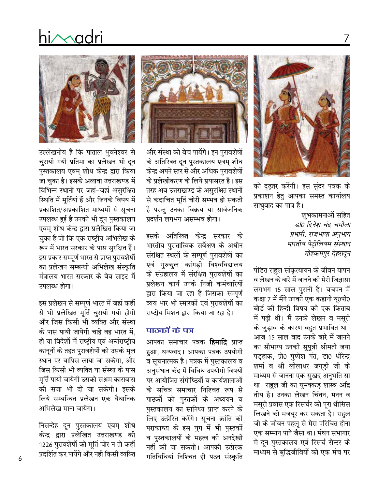को दृढ़तर करेंगी। इस सुंदर पत्रक के प्रकाशन हेतु आपका समस्त कार्यालय साधुवाद का पात्र है।

शुभकामनाओं सहित डॉ0 दिनेश चंद्र चमोला प्रभारी, राजभाषा अनुभाग भारतीय पेट्रोलियम संस्थान मोहकमपुर देहरादून

पंडित राहुल सांकृत्यायन के जीवन यापन व लेखन के बारे में जानने की मेरी जिज्ञासा लगभग 15 साल पुरानी है। बचपन में कक्षा 7 में मैंने उनकी एक कहानी यू0पी0 बोर्ड की हिन्दी विषय की एक किताब में पढ़ी थी। मैं उनके लेखन व मसूरी के जुड़ाव के कारण बहुत प्रभावित था। आज 15 साल बाद उनके बारे में जानने का सौभाग्य उनकी सुपुत्री श्रीमती जया पड़हाक, प्रो0 पुष्पेश पंत, डा0 धीरेन्द्र शर्मा व श्री लीलाधर जगूड़ी जी के माध्यम से जानना एक सुखद अनुभति सा था। राहुल जी का घुमक्कड़ शास्त्र अद्वि तीय है। उनका लेखन चिंतन, मनन व मसूरी प्रवास एक रिसर्चर को पूरा थीसिस लिखने को मजबूर कर सकता है। राहुल जी के जीवन पहलू से मेरा परिचित होना एक सम्मान पाने जैसा था। मंथन सभागार मे दून पुस्तकालय एवं रिसर्च सेन्टर के माध्यम से बुद्धिजीवियों को एक मंच पर



और संस्था को बेच पायेंगे। इन पुरावशेषों के अतिरिक्त दून पुस्तकालय एवम् शोध केन्द्र अपने स्तर से और अधिक पुरावशेषों के प्रलेखीकरण के लिये प्रयासरत है। इस तरह अब उत्तराखण्ड के असुरक्षित स्थानों से कदाचित मूर्ति चोरी सम्भव हो सकती है परन्तु उनका विक्रय या सार्वजनिक प्रदर्शन लगभग असम्भव होगा।

इसके अतिरिक्त केन्द्र सरकार के भारतीय पुरातात्विक सर्वेक्षण के अधीन संरक्षित स्थलों के सम्पूर्ण पुरावशेषों का एवं गुरुकुल कांगड़ी विश्वविद्यालय के संग्रहालय में संरक्षित पुरावशेषों का प्रलेखन कार्य उनके निजी कर्मचारियों द्वारा किया जा रहा है जिसका सम्पूर्ण व्यय भार भी स्मारकों एवं पुरावशेषों का राष्टीय मिशन द्वारा किया जा रहा है।

#### पाठकों के पत्र

आपका समाचार पत्रक **हिमाद्रि** प्राप्त हुआ, धन्यवाद। आपका पत्रक उपयोगी व सूचनात्मक है। पत्रक में पुस्तकालय व अनुसंधान केंद्र में विविध उपयोगी विषयों पर आयोजित संगोष्ठियों व कार्यशालाओं के सचित्र समाचार निश्चित रूप से पाठकों को पुस्तकों के अध्ययन व पस्तकालय का सानिध्य प्राप्त करने के लिए उत्प्रेरित करेंगे। सूचना क्रांति की पराकाष्ठा के इस युग में भी पुस्तकों व पुस्तकालयों के महत्व की अनदेखी नहीं की जा सकती। आपकी उत्प्रेरक गतिविधियां निश्चित ही पठन संस्कृति



hi∕∧adri

उल्लेखनीय है कि पाताल भुवनेश्वर से चुरायी गयी प्रतिमा का प्रलेखन भी दून पुस्तकालय एवम् शोध केन्द्र द्वारा किया जा चुका है। इसके अलावा उत्तराखण्ड में विभिन्न स्थानों पर जहां-जहां असुरक्षित स्थिति में मूर्तियां हैं और जिनके विषय में प्रकाशित/अप्रकाशित माध्यमों से सूचना उपलब्ध हुई है उनको भी दून पुस्तकालय एवम् शोध केन्द्र द्वारा प्रलेखित किया जा चुका है जो कि एक राष्ट्रीय अभिलेख के रूप में भारत सरकार के पास सुरक्षित हैं। इस प्रकार सम्पूर्ण भारत से प्राप्त पुरावशेषों का प्रलेखन सम्बन्धी अभिलेख संस्कृति मंत्रालय भारत सरकार के वेब साइट में उपलब्ध होगा।

इस प्रलेखन से सम्पूर्ण भारत में जहां कहीं से भी प्रलेखित मूर्ति चुरायी गयी होगी और जिस किसी भी व्यक्ति और संस्था के पास पायी जायेगी चाहे वह भारत में. हो या विदेशों में राष्ट्रीय एवं अर्न्तराष्ट्रीय कानूनों के तहत पुरावशेषों को उसके मूल स्थान पर वापिस लाया जा सकेगा. और जिस किसी भी व्यक्ति या संस्था के पास मूर्ति पायी जायेगी उसको सश्रम कारावास की सजा भी दी जा सकेगी। इसके लिये सम्बन्धित प्रलेखन एक वैधानिक अभिलेख माना जायेगा।

निसन्देह दून पुस्तकालय एवम् शोध केन्द्र द्वारा प्रलेखित उत्तराखण्ड की 1226 पुरावशेषों को मूर्ति चोर न तो कहीं पदर्शित कर पायेंगे और नही किसी व्यक्ति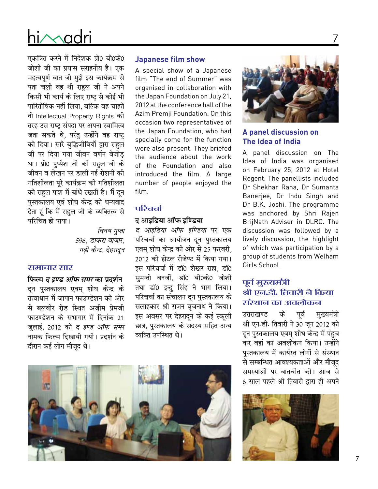# hi/sadri

एकत्रित करने में निदेशक प्रो0 बी0के0 जोशी जी का प्रयास सराहनीय है। एक महत्वपूर्ण बात जो मुझे इस कार्यक्रम से पता चली वह थी राहुल जी ने अपने किसी भी कार्य के लिए राष्ट से कोई भी पारितोषिक नहीं लिया. बल्कि वह चाहते तो Intellectual Property Rights की तरह उस राष्ट्र संपदा पर अपना स्वामित्व जता सकते थे, परंतु उन्होंने वह राष्ट् को दिया। सारे बुद्धिजीवियों द्वारा राहुल जी पर दिया गया जीवन वर्णन बेजोड था। प्रो0 पृष्पेश जी की राहल जी के जीवन व लेखन पर डाली गई रोशनी की गतिशीलता पूरे कार्यक्रम की गतिशीलता को राहुल पाश में बांधे रखती है। मैं दून पुस्तकालय एवं शोध केन्द्र को धन्यवाद देता हूं कि मैं राहुल जी के व्यक्तित्व से परिचित हो पाया।

> विनय गुप्ता 596, डाकरा बाजार, गढ़ी कैन्ट, देहरादन

#### समाचार सार

फिल्म *द इण्ड ऑफ समर* का प्रदर्शन दून पुस्तकालय एवम् शोध केन्द्र के तत्वाधान में जापान फाउण्डेशन की ओर से बलवीर रोड स्थित अजीम प्रेमजी फाउण्डेशन के सभागार में दिनांक 21 जुलाई, 2012 को *द इण्ड ऑफ समर* नामक फिल्म दिखायी गयी। प्रदर्शन के दौरान कई लोग मौजूद थे।

#### **Japanese film show**

A special show of a Japanese film "The end of Summer" was organised in collaboration with the Japan Foundation on July 21, 2012 at the conference hall of the Azim Premii Foundation. On this occasion two representatives of the Japan Foundation, who had specially come for the function were also present. They briefed the audience about the work of the Foundation and also introduced the film. A large number of people enjoyed the film.

#### परिचर्चा

#### द आइडिया ऑफ इण्डिया

द आइडिया ऑफ इण्डिया पर एक परिचर्चा का आयोजन दन पस्तकालय एवम् शोध केन्द्र की ओर से 25 फरवरी, 2012 को होटल रीजेण्ट में किया गया। इस परिचर्चा में डॉ0 शेखर राहा. डॉ0 सुमन्तो बनर्जी, डाॅ0 बी0के0 जोशी तथा डॉ0 इन्दु सिंह ने भाग लिया। परिचर्चा का संचालन दून पुस्तकालय के सलाहकार श्री राजन बुजनाथ ने किया। इस अवसर पर देहरादून के कई स्कूली छात्र, पुस्तकालय के सदस्य सहित अन्य व्यक्ति उपस्थित थे।





#### A panel discussion on The Idea of India

A panel discussion on The Idea of India was organised on February 25, 2012 at Hotel Regent. The panellists included Dr Shekhar Raha, Dr Sumanta Banerjee, Dr Indu Singh and Dr B.K. Joshi. The programme was anchored by Shri Rajen BriiNath Adviser in DLRC. The discussion was followed by a lively discussion, the highlight of which was participation by a group of students from Welham Girls School.

### पूर्व मुख्यमंत्री .<br>श्री एन.डी. तिवारी ने किया संस्थान का अवलोकन

उत्तराखण्ड के पर्व मख्यमंत्री श्री एन.डी. तिवारी ने 30 जून 2012 को दून पुस्तकालय एवम् शोध केन्द्र में पहुच कर वहां का अवलोकन किया। उन्होंने पुस्तकालय में कार्यरत लोगों से संस्थान से सम्बन्धित आवश्यकताओं और मौजूद समस्याओं पर बातचीत की। आज से 6 साल पहले श्री तिवारी द्वारा ही अपने

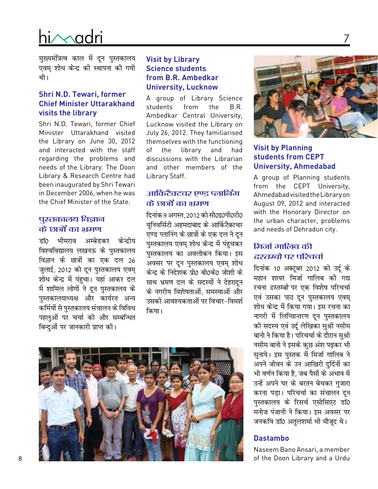मुख्यमंत्रित्व काल में दून पुस्तकालय एवम् शोध केन्द्र की स्थापना की गयी थी ।

#### **Shri N.D. Tewari, former Chief Minister Uttarakhand visits the library**

Shri N.D. Tewari, former Chief Minister Uttarakhand visited the Library on June 30, 2012 and interacted with the staff regarding the problems and needs of the Library. The Doon Library & Research Centre had been inaugurated by Shri Tewari in December 2006, when he was the Chief Minister of the State.

#### पुस्तकालय विज्ञान के छात्रों का भ्रमण

डाॅ0 भीमराव अम्बेडकर केन्दीय विश्वविद्यालय लखनऊ के पुस्तकालय विज्ञान के छात्रों का एक दल 26 जुलाई, 2012 को दून पुस्तकालय एवम् शोध केन्द्र में पंहुचा। यहां आकर दल में शामिल लोगों ने दून पुस्तकालय के पुस्तकालयाध्यक्ष और कार्यरत अन्य कर्मियों से पुस्तकालय संचालन के विविध पहलुओं पर चर्चा की और सम्बन्धित बिन्दुओं पर जानकारी प्राप्त की।

#### **Visit by Library Science students from B.R. Ambedkar University, Lucknow**

A group of Library Science students from the B.R. Ambedkar Central University, Lucknow visited the Library on July 26, 2012. They familiarised themselves with the functioning of the library and had discussions with the Librarian and other members of the Library Staff.

### आर्किटैक्टचर एण्ड प्लानिंग के छात्रों का भ्रमण

दिनांक 9 अगस्त, 2012 को सी0इ0पी0टी0 यनिवर्सिटी अहमदाबाद के आर्किटैक्टचर एण्ड प्लानिंग के छात्रों के एक दल ने दून पुस्तकालय एवम् शोध केन्द्र में पंहुचकर पुस्तकालय का अवलोकन किया। इस अवसर पर दून पुस्तकालय एवम् शोध केन्द्र के निदेशक प्रो0 बी0के0 जोशी के साथ भ्रमण दल के सदस्यों ने देहरादन के नगरीय विशेषताओं. समस्याओं और उसकी आवश्यकताओं पर विचार-विमर्श किया।





7

#### **Visit by Planning students from CEPT University, Ahmedabad**

A group of Planning students from the CEPT University, AhmedabadvisitedtheLibraryon August 09, 2012 and interacted with the Honorary Director on the urban character, problems and needs of Dehradun city.

### <u> सिर्जा ठाालिब की</u> दस्तम्बो पर परिचर्चा

दिनांक 10 अक्टूबर 2012 को उर्दू के महान शायर मिर्जा गालिब की गद्य रचना *दस्तम्बो* पर एक विशेष परिचर्चा एवं उसका पाठ दून पुस्तकालय एवम् शोध केन्द्र में किया गया। इस रचना का नागरी में लिप्यान्तरण दून पुस्तकालय की सदस्य एवं उर्दू लेखिका सुश्री नसीम बानो ने किया है। परिचर्चा के दौरान सुश्री नसीम बानो ने इसके कुछ अंश पढ़कर भी सुनाये। इस पुस्तक में मिर्जा गालिब ने अपने जीवन के उन आखिरी दर्दिनों का भी वर्णन किया है, जब पैसों के अभाव में उन्हें अपने घर के बरतन बेचकर गुजारा करना पड़ा। परिचर्चा का संचालन दून पुस्तकालय के रिसर्च एसोसिएट डॉ0 मनोज पंजानी ने किया। इस अवसर पर जनकवि डाॅ0 अतुलशर्मा भी मौजुद थे।

#### **Dastambo**

Naseem Bano Ansari, a member of the Doon Library and a Urdu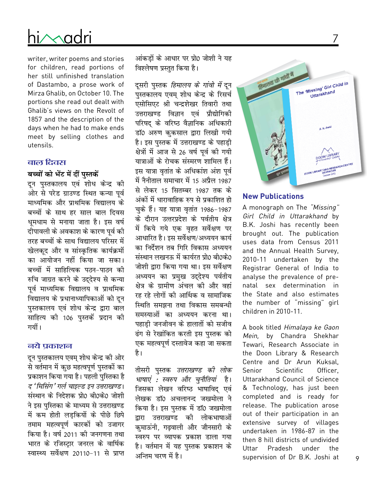# hi∕∧adri

writer, writer poems and stories for children, read portions of her still unfinished translation of Dastambo, a prose work of Mirza Ghalib, on October 10. The portions she read out dealt with Ghalib's views on the Revolt of 1857 and the description of the days when he had to make ends meet by selling clothes and utensils.

#### बाल दिवस

#### बच्चों को भेंट में दीं पस्तकें

दून पुस्तकालय एवं शोध केन्द्र की ओर से परेड ग्राउण्ड स्थित कन्या पूर्व माध्यमिक और प्राथमिक विद्यालय के बच्चों के साथ हर साल बाल दिवस धुमधाम से मनाया जाता है। इस वर्ष दीपावली के अवकाश के कारण पर्व की तरह बच्चों के साथ विद्यालय परिसर में खेलकद और व सांस्कृतिक कार्यक्रमों का आयोजन नहीं किया जा सका। बच्चों में साहित्यिक पठन-पाठन की रुचि जाग्रत करने के उददेश्य से कन्या पर्व माध्यमिक विद्यालय व प्राथमिक विद्यालय के प्रधानाध्यापिकाओं को दून पुस्तकालय एवं शोध केन्द्र द्वारा बाल साहित्य को 106 पुस्तकें प्रदान को गयीं ।

#### नये प्रकाशन

दून पुस्तकालय एवम् शोध केन्द्र की ओर से वर्तमान में कुछ महत्वपूर्ण पुस्तकों का प्रकाशन किया गया है। पहली पुस्तिका है द 'मिसिंग' गर्ल चाइल्ड इन उत्तराखण्ड। संस्थान के निदेशक प्रो0 बी0के0 जोशी ने इस पुस्तिका के माध्यम से उत्तराखण्ड में कम होती लडकियों के पीछे छिपे तमाम महत्वपूर्ण कारकों को उजागर किया है। वर्ष 2011 की जनगणना तथा भारत के रजिस्ट्रार जनरल के वार्षिक स्वास्थ्य सर्वेक्षण 20110-11 से प्राप्त

आंकडों के आधार पर प्रो0 जोशी ने यह विश्लेषण प्रस्तुत किया है।

दसरी पुस्तक *हिमालय के गांवो में* दुन पुस्तकालय एवम् शोध केन्द्र के रिसर्च एसोसिएट श्री चन्द्रशेखर तिवारी तथा उत्तराखण्ड विज्ञान एवं प्रौद्योगिकी परिषद के वरिष्ठ वैज्ञानिक अधिकारी डॉ0 अरुण कुकसाल द्वारा लिखी गयी है। इस पुस्तक में उत्तराखण्ड के पहाड़ी क्षेत्रों में आज से 26 वर्ष पूर्व की गयी यात्राओं के रोचक संस्मरण शामिल हैं। इस यात्रा वृतांत के अधिकांश अंश पूर्व में नैनीताल समाचार में 15 अप्रैल 1987 से लेकर 15 सितम्बर 1987 तक के अंकों में धारावाहिक रुप से प्रकाशित हो चुके हैं। यह यात्रा वृतांत 1986-1987 के दौरान उत्तरप्रदेश के पर्वतीय क्षेत्र में किये गये एक वृहत सर्वेक्षण पर आधारित है। इस सर्वेक्षण/अध्ययन कार्य का निर्देशन तब गिरि विकास अध्ययन संस्थान लखनऊ में कार्यरत प्रो0 बी0के0 जोशी द्वारा किया गया था। इस सर्वेक्षण अध्ययन का प्रमुख उद्देश्य पर्वतीय क्षेत्र के ग्रामीण अंचल की और वहां रह रहे लोगों की आर्थिक व सामाजिक स्थिति समझना तथा विकास समबन्धी समस्याओं का अध्ययन करना था। पहाडी जनजीवन के हालातों को सजीव ढंग से रेखांकित करती इस पुस्तक को एक महत्वपूर्ण दस्तावेज कहा जा सकता है।

तीसरी पुस्तक *उत्तराखण्ड की लोक* भाषाएं : स्वरुप और चुनौतियां है। जिसका लेखन वरिष्ठ भाषाविद् एवं लेखक डॉ0 अचलानन्द जखमोला ने किया है। इस पुस्तक में डाॅ0 जखमोला उत्तराखण्ड की लोकभाषाओं द्रारा कुमाऊंनी, गढ़वाली और जौनसारी के स्वरुप पर व्यापक प्रकाश डाला गया है। वर्तमान में यह पस्तक प्रकाशन के अन्तिम चरण में है।



7

#### **New Publications**

A monograph on The "Missing" Girl Child in Uttarakhand by B.K. Joshi has recently been brought out. The publication uses data from Census 2011 and the Annual Health Survey, 2010-11 undertaken by the Registrar General of India to analyse the prevalence of prenatal sex determination in the State and also estimates the number of "missing" girl children in 2010-11.

A book titled Himalaya ke Gaon Mein, by Chandra Shekhar Tewari, Research Associate in the Doon Library & Research Centre and Dr Arun Kuksal. Senior Scientific Officer. Uttarakhand Council of Science & Technology, has just been completed and is ready for release. The publication arose out of their participation in an extensive survey of villages undertaken in 1986-87 in the then 8 hill districts of undivided Uttar Pradesh under the supervision of Dr B.K. Joshi at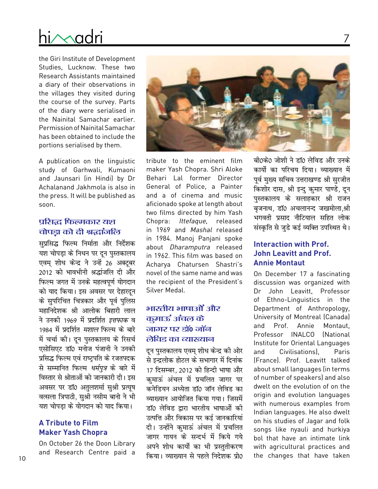the Giri Institute of Development Studies, Lucknow. These two Research Assistants maintained a diary of their observations in the villages they visited during the course of the survey. Parts of the diary were serialised in the Nainital Samachar earlier. Permission of Nainital Samachar has been obtained to include the portions serialised by them.

A publication on the linguistic study of Garhwali, Kumaoni and Jaunsari (in Hindi) by Dr Achalanand Jakhmola is also in the press. It will be published as soon.

### प्रसिद्ध फिल्मकार यश चोपड़ा को दी श्रद्धांजलि

सुप्रसिद्ध फिल्म निर्माता और निर्देशक यश चोपड़ा के निधन पर दून पुस्तकालय एवम् शोध केन्द्र ने उन्हें 26 अक्टूबर 2012 को भावभीनी श्रद्धांजलि दी और फिल्म जगत में उनके महत्वपूर्ण योगदान को याद किया। इस अवसर पर देहारदन के सुपरिचित चित्रकार और पूर्व पुलिस महानिदेशक श्री आलोक बिहारी लाल ने उनको 1969 में प्रदर्शित *इत्तफाक* व 1984 में प्रदर्शित *मशाल* फिल्म के बारे में चर्चा की। दून पुस्तकालय के रिसर्च एसोसिएट डॉ0 मनोज पंजानी ने उनकी प्रसिद्ध फिल्म एवं राष्ट्रपति के रजतपदक से सम्मानित फिल्म *धर्मपुत्र* के बारे में विस्तार से श्रोताओं को जानकारी दी। इस अवसर पर डॉ0 अतुलशर्मा सुश्री प्रत्यूष वत्सला त्रिपाठी, सुश्री नसीम बानो ने भी यश चोपडा के योगदान को याद किया।

### **A Tribute to Film Maker Yash Chopra**

On October 26 the Doon Library and Research Centre paid a



tribute to the eminent film maker Yash Chopra. Shri Aloke Behari Lal former Director General of Police, a Painter and a of cinema and music aficionado spoke at length about two films directed by him Yash Chopra: Ittefaque, released in 1969 and Mashal released in 1984. Manoj Panjani spoke about Dharamputra released in 1962. This film was based on Acharva Chatursen Shastri's novel of the same name and was the recipient of the President's Silver Medal.

### भारतीय भाषाओं और कूमाऊं अंचल के जागर पर डॉ० जॉन लेविड का व्याख्यान

दून पुस्तकालय एवम् शोध केन्द्र की ओर से इन्द्रलोक होटल के सभागार में दिनांक 17 दिसम्बर, 2012 को हिन्दी भाषा और कुमाऊं अंचल में प्रचलित जागर पर कनेडियन अध्येता डॉ0 जॉन लेविड का व्याख्यान आयोजित किया गया। जिसमें डॉ0 लेविड द्वारा भारतीय भाषाओं की उत्पत्ति और विकास पर कई जानकारियां दी। उन्होंने कुमाऊं अंचल में प्रचलित जागर गायन के सन्दर्भ में किये गये अपने शोध कार्यो का भी प्रस्ततीकरण किया। व्याख्यान से पहले निदेशक प्रो0

बी0के0 जोशी ने डॉ0 लेविड और उनके कार्यो का परिचय दिया। व्याख्यान में पूर्व मुख्य सचिव उत्तराखण्ड श्री सुरजीत किशोर दास, श्री इन्दु कुमार पाण्डे, दून पस्तकालय के सलाहकार श्री राजन बुजनाथ, डाॅ0 अचलानन्द जखमोला,श्री भगवती प्रसाद नौटियाल सहित लोक संस्कृति से जुडे कई व्यक्ति उपस्थित थे।

#### **Interaction with Prof. John Leavitt and Prof. Annie Montaut**

On December 17 a fascinating discussion was organized with John Leavitt. Professor Dr of Ethno-Linguistics in the Department of Anthropology, University of Montreal (Canada) and Prof. Annie Montaut. Professor INALCO (National Institute for Oriental Languages and Civilisations). Paris (France). Prof. Leavitt talked about small languages (in terms of number of speakers) and also dwelt on the evolution of on the origin and evolution languages with numerous examples from Indian languages. He also dwelt on his studies of Jagar and folk songs like nyauli and hurkiya bol that have an intimate link with agricultural practices and the changes that have taken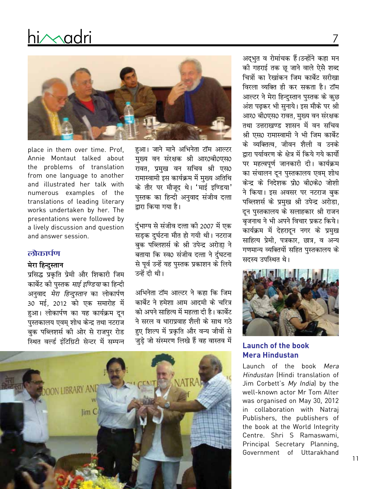

place in them over time. Prof. Annie Montaut talked about the problems of translation from one language to another and illustrated her talk with numerous examples of the translations of leading literary works undertaken by her. The presentations were followed by a lively discussion and question and answer session.

#### लोकार्पण

#### मेरा हिन्दस्तान

प्रसिद्ध प्रकृति प्रेमी और शिकारी जिम कार्बेट की पुस्तक *माई इण्डिया* का हिन्दी अनुवाद *मेरा हिन्दुस्तान* का लोकार्पण 30 मई, 2012 को एक समारोह में हुआ। लोकार्पण का यह कार्यक्रम दून पुस्तकालय एवम् शोध केन्द्र तथा नटराज बुक पब्लिशर्स की ओर से राजपुर रोड स्थित वर्ल्ड इंटिग्रिटी सेन्टर में सम्पन्न

हुआ। जाने माने अभिनेता टॉम आल्टर मुख्य वन संरक्षक श्री आर0बी0एस0 रावत, प्रमुख वन सचिव श्री एस0 रामास्वामी इस कार्यक्रम में मुख्य अतिथि के तौर पर मौजूद थे। 'माई इण्डिया' पुस्तक का हिन्दी अनुवाद संजीव दत्ता द्वारा किया गया है।

र्दुभाग्य से संजीव दत्ता की 2007 में एक सड़क दुर्घटना मौत हो गयी थी। नटराज बुक पब्लिशर्स के श्री उपेन्द्र अरोड़ा ने बताया कि स्व0 संजीव दत्ता ने र्दुघटना से पूर्व उन्हें यह पुस्तक प्रकाशन के लिये उन्हें दी थी।

अभिनेता टॉम आल्टर ने कहा कि जिम कार्बेट ने हमेशा आम आदमी के चरित्र को अपने साहित्य में महत्ता दी है। कार्बेट ने सरल व धाराप्रवाह शैली के साथ गठे हुए शिल्प में प्रकृति और वन्य जीवों से जुड़े जो संस्मरण लिखे हैं वह वास्तव में



अदुभुत व रोमांचक हैं।उन्होंने कहा मन की गहराई तक छू जाने वाले ऐसे शब्द चित्रों का रेखांकन जिम कार्बेट सरीखा विरला व्यक्ति ही कर सकता है। टॉम आल्टर ने मेरा हिन्दुस्तान पुस्तक के कुछ अंश पढ़कर भी सुनाये। इस मौके पर श्री आर0 बी0एस0 रावत, मुख्य वन संरक्षक तथा उत्तराखण्ड शासन में वन सचिव श्री एस0 रामास्वामी ने भी जिम कार्बेट के व्यक्तित्व. जीवन शैली व उनके द्वारा पर्यावरण के क्षेत्र में किये गये कार्यो पर महत्वपूर्ण जानकारी दी। कार्यक्रम का संचालन दून पुस्तकालय एवम् शोध केन्द्र के निदेशक प्रो0 बी0के0 जोशी ने किया। इस अवसर पर नटराज बक पब्लिशर्स के प्रमुख श्री उपेन्द्र अरोडा, दून पुस्तकालय के सलाहकार श्री राजन बुजनाथ ने भी अपने विचार प्रकट किये। कार्यक्रम में देहरादून नगर के प्रमुख साहित्य प्रेमी, पत्रकार, छात्र, व अन्य गणमान्य व्यक्तियों सहित पुस्तकालय के सदस्य उपस्थित थे।



#### **Launch of the book Mera Hindustan**

Launch of the book Mera Hindustan (Hindi translation of Jim Corbett's My Indial by the well-known actor Mr Tom Alter was organised on May 30, 2012 in collaboration with Natraj Publishers, the publishers of the book at the World Integrity Centre. Shri S Ramaswami, Principal Secretary Planning, Government of Uttarakhand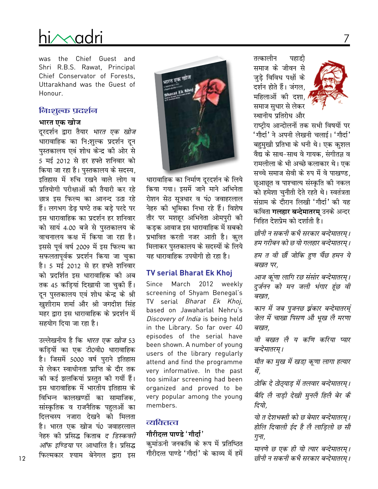# ii Madr

was the Chief Guest and Shri R.B.S. Rawat, Principal Chief Conservator of Forests. Uttarakhand was the Guest of Honour.

#### निःशुल्क प्रदर्शन

#### भारत एक खोज

दूरदर्शन द्वारा तैयार *भारत एक खोज* धारावाहिक का नि:शुल्क प्रदर्शन दून पुस्तकालय एवं शोध केन्द्र की ओर से 5 मई 2012 से हर हफ्ते शनिवार को किया जा रहा है। पुस्तकालय के सदस्य, इतिहास में रुचि रखने वाले लोग व प्रतियोगी परीक्षाओं की तैयारी कर रहे छात्र इस फिल्म का आनन्द उठा रहे हैं। लगभग डेढ़ घण्टे तक बड़े परदे पर इस धारावाहिक का प्रदर्शन हर शनिवार को सायं 4.00 बजे से पुस्तकालय के वाचनालय कक्ष में किया जा रहा है। इससे पूर्व वर्ष 2009 में इस फिल्म का सफलतापूर्वक प्रदर्शन किया जा चुका है। 5 मई 2012 से हर हफ्ते शनिवार को प्रदर्शित इस धारावाहिक की अब तक 45 कड़ियां दिखायी जा चुकी हैं। दून पुस्तकालय एवं शोध केन्द्र के श्री खुशीराम शर्मा और श्री जगदीश सिंह महर द्वारा इस धारावाहिक के प्रदर्शन में सहयोग दिया जा रहा है।

उल्लेखनीय है कि *भारत एक खोज* 53 कड़ियों का एक टी0वी0 धारावाहिक है। जिसमें 5000 वर्ष पुराने इतिहास से लेकर स्वाधीनता प्राप्ति के दौर तक की कई झलकियां प्रस्तुत की गयीं हैं। इस धारावाहिक में भारतीय इतिहास के विभिन्न कालखण्डों का सामाजिक, सांस्कृतिक व राजनैतिक पहुलओं का दिलचस्प नजारा देखने को मिलता है। भारत एक खोज पं0 जवाहरलाल नेहरु को प्रसिद्ध किताब *द डिस्कवरी ऑफ इण्डिया* पर आधारित है। प्रसिद्ध फिल्मकार श्याम बेनेगल द्वारा इस



धारावाहिक का निर्माण दूरदर्शन के लिये किया गया। इसमें जाने माने अभिनेता रोशन सेठ सूत्रधार व पं0 जवाहरलाल नेहरु की भूमिका निभा रहे हैं। विशेष तौर पर मशहूर अभिनेता ओमपुरी की कड़क आवाज इस धारावाहिक में सबको प्रभावित करती नजर आती है। कुल मिलाकर पुस्तकालय के सदस्यों के लिये यह धारावाहिक उपयोगी हो रहा है।

#### **TV serial Bharat Ek Khoj**

Since March 2012 weekly screening of Shyam Benegal's TV serial Bharat Ek Khoj, based on Jawaharlal Nehru's Discovery of India is being held in the Library. So far over 40 episodes of the serial have been shown. A number of young users of the library regularly attend and find the programme very informative. In the past too similar screening had been organized and proved to be very popular among the young members.

### व्यक्तित्व

#### गौरीदत्त पाण्डे 'गौर्दा'

कुमांऊनी जनकवि के रूप में प्रतिष्ठित गौरीदत्त पाण्डे 'गौर्दा' के काव्य में हमें

तत्कालीन पहाडी समाज के जीवन से जुड़े विविध पक्षों के दर्शन होते हैं। जंगल, महिलाओं की दशा. समाज सुधार से लेकर स्थानीय प्रतिरोध और



राष्टीय आन्दोलनों तक सभी विषयों पर 'गौर्दा' ने अपनी लेखनी चलाई। 'गौर्दा' बहुमुखी प्रतिभा के धनी थे। एक कुशल वैद्य के साथ-साथ वे गायक. संगीतज्ञ व रामलीला के भी अच्छे कलाकार थे। एक सच्चे समाज सेवी के रुप में वे पाखण्ड. छूआछूत व पाश्चात्य संस्कृति की नकल को हमेशा चुनौती देते रहते थे। स्वतंत्रता संग्राम के दौरान लिखी 'गौर्दा' की यह कविता **गलहार बन्देमातरम्** उनके अन्दर निहित देशप्रेम को दर्शाती है।

छीनी न सकनी कभै सरकार बन्देमातरम् । हम गरीबन को छ यो गलहार बन्देमातरम् । हम त वी छौं जोकि हुण चैंछ हमन ये बखत पर,

आज कूंणा लागि रछ संसार बन्देमातरम्। दुर्जनन को मन जली भंगार हुंछ वी बखत.

कान में जब पुजनछ झंकार बन्देमातरम्ं जेल में चाखा पिसण औ भूख लै मरणा बखत.

वी बखत लै य कणि करिया प्यार बन्देमातरम् ।

मौत का मुख में खड़ा़ कूणा लागा हत्यार थें.

ठोकि दे ठोठ्याड़ में तलवार बन्देमातरम् । बैदि लै नाड़ी देखी मुनलै हिलै बेर कै दियो.

यो त देशभक्ती को छ बेमार बन्देमातरम। होलि दिवाली ईद है लै लाड़िलो छ सौ गुना,

मानणे छ एक ही यो त्यार बन्देमातरम्। छीनी न सकनी कभै सरकार बन्देमातरम् ।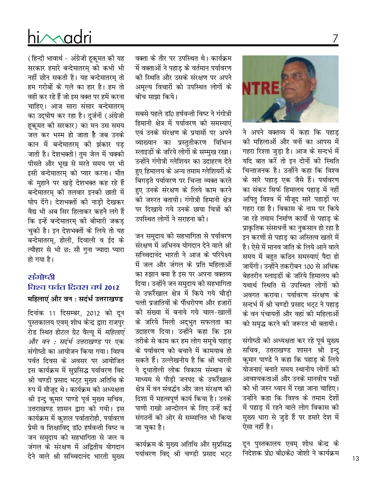### $\sim$ ndr

(हिन्दी भावार्थ – अंग्रेजी हुकूमत की यह सरकार हमारे बन्देमातरम् को कभी भी नहीं छीन सकती है। यह बन्देमातरम् तो हम गरीबों के गले का हार है। हम तो वही कर रहे हैं जो इस वक्त पर हमें करना चाहिए। आज सारा संसार बन्देमातरम् का उद्घोष कर रहा है। दुर्जनों (अंग्रेजी हुकूमत की सरकार) का मन उस समय जल कर भस्म हो जाता है जब उनके कान में बन्देमातरम् की झंकार पड़ जाती है। देशभक्तो! तुम जेल में चक्की पीसते और भुख से मरते समय पर भी इसी बन्देमातरम् को प्यार करना। मौत के मुहाने पर खड़े देशभक्त कह रहे हैं बन्देमातरम् की तलवार इनकी छाती में घोप देंगे। देशभक्तों की नाडी देखकर वैद्य भी अब सिर हिलाकर कहने लगे हैं कि इन्हें बन्देमातरम् की बीमारी जकड़ चुकी है। इन देशभक्तों के लिये तो यह बन्देमातरम्, होली, दिवाली व ईद के त्यौहार से भी छ: सौ गुना ज्यादा प्यारा हो गया है।

### संगोष्ठी विश्व पर्वत दिवस वर्ष 2012 महिलाएं और वन : सदंर्भ उत्तराखण्ड

दिनांक 11 दिसम्बर, 2012 को दुन पुस्तकालय एवम् शोध केन्द्र द्वारा राजपुर रोड स्थित होटल ग्रेट वैल्यू में *महिलाएं और वन : सदंर्भ उत्तराखण्ड* पर एक संगोष्ठी का आयोजन किया गया। विश्व पर्वत दिवस के अवसर पर आयोजित इस कार्यक्रम में सुप्रसिद्ध पर्यावरण विद श्री चण्डी प्रसाद भट्ट मुख्य अतिथि के रुप में मौजूद थे। कार्यक्रम की अध्यक्षता श्री इन्दु कुमार पाण्डे पूर्व मुख्य सचिव, उत्तराखण्ड शासन द्वारा की गयी। इस कार्यक्रम में कुशल पर्वातारोही, पर्यावरण प्रेमी व शिक्षाविद् डॉ0 हर्षवन्ती विष्ट व जन समुदाय की सहभागिता से जल व जंगल के संरक्षण में अद्वितीय योगदान देने वाले श्री सच्चिदानंद भारती मुख्य

वक्ता के तौर पर उपस्थित थे। कार्यक्रम में वक्ताओं ने पहाड़ के वर्तमान पर्यावरण की स्थिति और उसके संरक्षण पर अपने अमृल्य विचारों को उपस्थित लोगों के बीच साझा किये।

सबसे पहले डॉ0 हर्षवन्ती विष्ट ने गंगोत्री हिमानी क्षेत्र में पर्यावरण की समस्याएं एवं उनके संरक्षण के प्रयासों पर अपने व्याख्यान का प्रस्तुतीकरण विभिन्न स्लाइडों के जरिये लोगों के सम्मुख रखा। उन्होंने गंगोत्री ग्लेशियर का उदाहरण देते हए हिमालय के अन्य तमाम ग्लेशियरों के बिगडते पर्यावरण पर चिन्ता व्यक्त करते हुए उनके संरक्षण के लिये काम करने की जरुरत बतायी। गंगोत्री हिमानी क्षेत्र पर दिखाये गये उनके छाया चित्रों की उपस्थित लोगों ने सराहना की।

जन समुदाय की सहभागिता से पर्यावरण संरक्षण में अभिनव योगदान देने वाले श्री सच्चिदानंद भारती ने आज के परिपेक्ष्य में जल और जंगल के प्रति महिलाओं का रुझान क्या है इस पर अपना वक्तव्य दिया। उन्होंने जन समुदाय की सहभागिता से उफरैंखाल क्षेत्र में किये गये चौडी पत्ती प्रजातियों के पौंधरोपण और हजारों की संख्या में बनाये गये चाल-खालों के जरिये मिली अद्भुत सफलता का उदाहरण दिया। उन्होंने कहा कि इस तरीके से काम कर हम लोग समूचे पहाड़ के पर्यावरण को बचाने में कामयाब हो सकते हैं। उल्लेखनीय है कि श्री भारती ने दूधातोली लोक विकास संस्थान के माध्यम से पौड़ी जनपद के उफरैंखाल क्षेत्र में वन संवर्द्धन और जल संरक्षण की दिशा में महत्वपूर्ण कार्य किया है। उनके पाणी राखो आन्दोलन के तिए उन्हें कई संगठनों की ओर से सम्मानित भी किया जा चुका है।

कार्यक्रम के मुख्य अतिथि और सुप्रसिद्ध पर्यावरण विद् श्री चण्डी प्रसाद भट्ट



ने अपने वक्तव्य में कहा कि पहाड़ की महिलाओं और वनों का आपस में गहरा रिश्ता जुड़ा है। आज के सन्दर्भ में यदि बात करें तो इन दोनों की स्थिति चिन्ताजनक है। उन्होंने कहा कि विश्व के सारे पहाड़ एक जैसे हैं। पर्यावरण का संकट सिर्फ हिमालय पहाड़ में नहीं अपितु विश्व में मौजूद सारे पहाड़ों पर गहरा रहा है। विकास के नाम पर किये जा रहे तमाम निर्माण कार्यो से पहाड के प्राकृतिक संसाधनों का नुकसान हो रहा है इन करणों से पहाड़ का अस्तित्व खतरे में है। ऐसे में मानव जाति के लिये आने वाले समय में बहुत कठिन समस्याएं पैदा हो जायेंगी। उन्होंने तकरीबन 100 से अधिक बेहतरीन स्लाइडों के जरिये हिमालय की यथार्थ स्थिति से उपस्थित लोगों को अवगत कराया। पर्यावरण संरक्षण के सन्दर्भ में श्री चण्डी प्रसाद भटट ने पहाड के वन पंचायतों और वहां की महिलाओं को समृद्ध करने की जरूरत भी बतायी।

संगोष्ठी की अध्यक्षता कर रहे पूर्व मुख्य सचिव, उत्तराखण्ड शासन श्री इन्दु कुमार पाण्डे ने कहा कि पहाड़ के लिये योजनाएं बनाते समय स्थानीय लोगों की आवश्यकताओं और उनके मानवीय पक्षों को भी जरुर ध्यान में रखा जाना चाहिए। उन्होंने कहा कि विश्व के तमाम देशों में पहाड़ में रहने वाले लोग विकास की मुख्य धारा से जुड़े हैं पर हमारे देश में ऐसा नहीं है।

दून पुस्तकालय एवम् शोध केन्द्र के निदेशक प्रो0 बी0के0 जोशी ने कार्यक्रम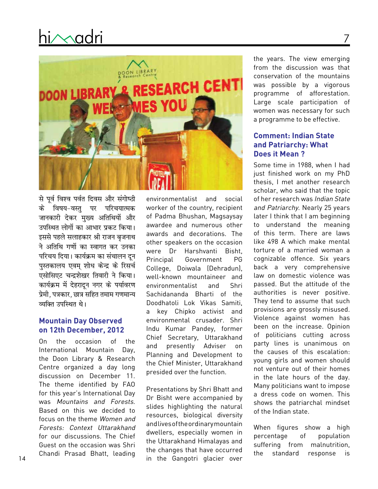

से पूर्व विश्व पर्वत दिवस और संगोष्ठी के विषय-वस्तु पर परिचयात्मक जानकारी देकर मुख्य अतिथियों और उपस्थित लोगों का आभार प्रकट किया। इससे पहले सलाहकार श्री राजन बृजनाथ ने अतिथि गणों का स्वागत कर उनका परिचय दिया। कार्यक्रम का संचालन दुन .<br>पुस्तकालय एवम् शोध केन्द्र के रिसर्च एसोसिएट चन्द्रशेखर तिवारी ने किया। कार्यक्रम में देहरादून नगर के पर्यावरण प्रेमी. पत्रकार. छात्र सहित तमाम गणमान्य व्यक्ति उपस्थित थे।

#### **Mountain Day Observed on 12th December, 2012**

On the occasion of the International Mountain Day, the Doon Library & Research Centre organized a day long discussion on December 11. The theme identified by FAO for this year's International Day was Mountains and Forests. Based on this we decided to focus on the theme Women and Forests: Context Uttarakhand for our discussions. The Chief Guest on the occasion was Shri Chandi Prasad Bhatt, leading

environmentalist and social worker of the country, recipient of Padma Bhushan, Magsaysay awardee and numerous other awards and decorations. The other speakers on the occasion were Dr Harshvanti Bisht, Principal Government PG College, Doiwala (Dehradun), well-known mountaineer and environmentalist and Shri Sachidananda Bharti of the Doodhatoli Lok Vikas Samiti, a key Chipko activist and environmental crusader. Shri Indu Kumar Pandey, former Chief Secretary, Uttarakhand and presently Adviser on Planning and Development to the Chief Minister, Uttarakhand presided over the function.

Presentations by Shri Bhatt and Dr Bisht were accompanied by slides highlighting the natural resources, biological diversity andlivesoftheordinarymountain dwellers, especially women in the Uttarakhand Himalayas and the changes that have occurred in the Gangotri glacier over

the years. The view emerging from the discussion was that conservation of the mountains was possible by a vigorous programme of afforestation. Large scale participation of women was necessary for such a programme to be effective.

7

#### **Comment: Indian State and Patriarchy: What Does it Mean ?**

Some time in 1988, when I had just finished work on my PhD thesis, I met another research scholar, who said that the topic of her research was Indian State and Patriarchy. Nearly 25 years later I think that I am beginning to understand the meaning of this term. There are laws like 498 A which make mental torture of a married woman a cognizable offence. Six years back a very comprehensive law on domestic violence was passed. But the attitude of the authorities is never positive. They tend to assume that such provisions are grossly misused. Violence against women has been on the increase. Opinion of politicians cutting across party lines is unanimous on the causes of this escalation: young girls and women should not venture out of their homes in the late hours of the day. Many politicians want to impose a dress code on women. This shows the patriarchal mindset of the Indian state.

When figures show a high percentage of population suffering from malnutrition, the standard response is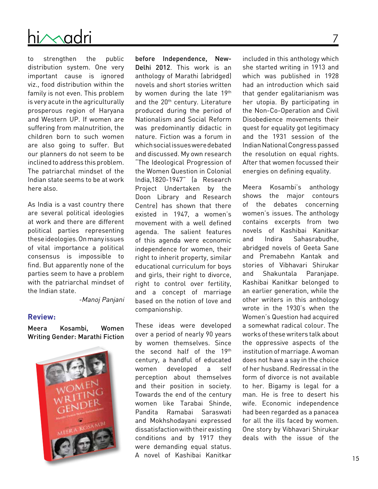

to strengthen the public distribution system. One very important cause is ignored viz., food distribution within the family is not even. This problem is very acute in the agriculturally prosperous region of Haryana and Western UP. If women are suffering from malnutrition, the children born to such women are also going to suffer. But our planners do not seem to be inclined to address this problem. The patriarchal mindset of the Indian state seems to be at work here also.

As India is a vast country there are several political ideologies at work and there are different political parties representing theseideologies.Onmany issues of vital importance a political consensus is impossible to find. But apparently none of the parties seem to have a problem with the patriarchal mindset of the Indian state.

-Manoj Panjani

#### **Review:**

Meera Kosambi, Women Writing Gender: Marathi Fiction



before Independence, New-Delhi 2012. This work is an anthology of Marathi (abridged) novels and short stories written by women during the late 19th and the 20<sup>th</sup> century. Literature produced during the period of Nationalism and Social Reform was predominantly didactic in nature. Fiction was a forum in whichsocialissuesweredebated and discussed. My own research "The Ideological Progression of the Women Question in Colonial India,1820-1947" (a Research Project Undertaken by the Doon Library and Research Centre) has shown that there existed in 1947, a women's movement with a well defined agenda. The salient features of this agenda were economic independence for women, their right to inherit property, similar educational curriculum for boys and girls, their right to divorce, right to control over fertility, and a concept of marriage based on the notion of love and companionship.

These ideas were developed over a period of nearly 90 years by women themselves. Since the second half of the 19th century, a handful of educated women developed a self perception about themselves and their position in society. Towards the end of the century women like Tarabai Shinde, Pandita Ramabai Saraswati and Mokhshodayani expressed dissatisfactionwiththeirexisting conditions and by 1917 they were demanding equal status. A novel of Kashibai Kanitkar

included in this anthology which she started writing in 1913 and which was published in 1928 had an introduction which said that gender egalitarianism was her utopia. By participating in the Non-Co-Operation and Civil Disobedience movements their quest for equality got legitimacy and the 1931 session of the IndianNationalCongresspassed the resolution on equal rights. After that women focussed their energies on defining equality.

Meera Kosambi's anthology shows the major contours of the debates concerning women's issues. The anthology contains excerpts from two novels of Kashibai Kanitkar and Indira Sahasrabudhe, abridged novels of Geeta Sane and Premabehn Kantak and stories of Vibhavari Shirukar and Shakuntala Paranjape. Kashibai Kanitkar belonged to an earlier generation, while the other writers in this anthology wrote in the 1930's when the Women's Question had acquired a somewhat radical colour. The works of these writers talk about the oppressive aspects of the institution of marriage. A woman does not have a say in the choice of her husband. Redressal in the form of divorce is not available to her. Bigamy is legal for a man. He is free to desert his wife. Economic independence had been regarded as a panacea for all the ills faced by women. One story by Vibhavari Shirukar deals with the issue of the